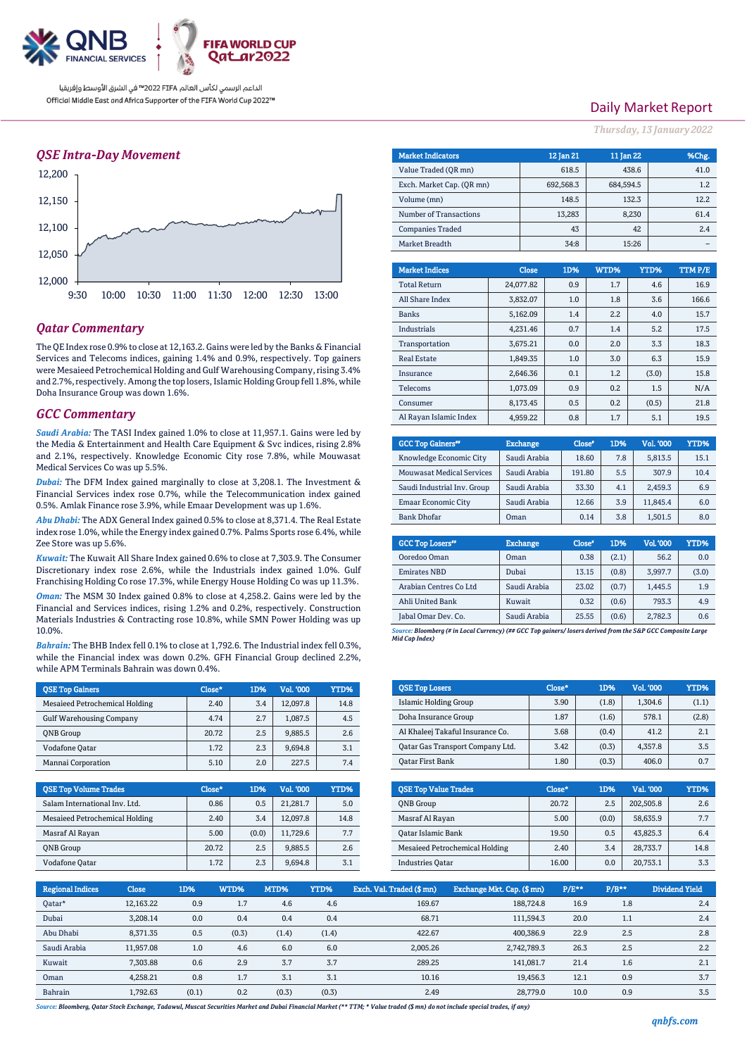

الداعم الرسمي لكأس العالم PIFA≤™ في الشرق الأوسط وإفريقيا Official Middle East and Africa Supporter of the FIFA World Cup 2022™

### *QSE Intra-Day Movement*



### *Qatar Commentary*

The QE Index rose 0.9% to close at 12,163.2. Gains were led by the Banks & Financial Services and Telecoms indices, gaining 1.4% and 0.9%, respectively. Top gainers were Mesaieed Petrochemical Holding and Gulf Warehousing Company, rising 3.4% and 2.7%, respectively. Among the top losers, Islamic Holding Group fell 1.8%, while Doha Insurance Group was down 1.6%.

### *GCC Commentary*

10.0%.

*Saudi Arabia:* The TASI Index gained 1.0% to close at 11,957.1. Gains were led by the Media & Entertainment and Health Care Equipment & Svc indices, rising 2.8% and 2.1%, respectively. Knowledge Economic City rose 7.8%, while Mouwasat Medical Services Co was up 5.5%.

*Dubai:* The DFM Index gained marginally to close at 3,208.1. The Investment & Financial Services index rose 0.7%, while the Telecommunication index gained 0.5%. Amlak Finance rose 3.9%, while Emaar Development was up 1.6%.

*Abu Dhabi:* The ADX General Index gained 0.5% to close at 8,371.4. The Real Estate index rose 1.0%, while the Energy index gained 0.7%. Palms Sports rose 6.4%, while Zee Store was up 5.6%.

*Kuwait:* The Kuwait All Share Index gained 0.6% to close at 7,303.9. The Consumer Discretionary index rose 2.6%, while the Industrials index gained 1.0%. Gulf Franchising Holding Co rose 17.3%, while Energy House Holding Co was up 11.3%. *Oman:* The MSM 30 Index gained 0.8% to close at 4,258.2. Gains were led by the Financial and Services indices, rising 1.2% and 0.2%, respectively. Construction Materials Industries & Contracting rose 10.8%, while SMN Power Holding was up

*Bahrain:* The BHB Index fell 0.1% to close at 1,792.6. The Industrial index fell 0.3%, while the Financial index was down 0.2%. GFH Financial Group declined 2.2%, while APM Terminals Bahrain was down 0.4%.

| <b>OSE Top Gainers</b>          | Close* | 1D% | <b>Vol. '000</b> | YTD% |
|---------------------------------|--------|-----|------------------|------|
| Mesaieed Petrochemical Holding  | 2.40   | 3.4 | 12.097.8         | 14.8 |
| <b>Gulf Warehousing Company</b> | 4.74   | 2.7 | 1.087.5          | 4.5  |
| <b>ONB</b> Group                | 20.72  | 2.5 | 9,885.5          | 2.6  |
| Vodafone Qatar                  | 1.72   | 2.3 | 9,694.8          | 3.1  |
| Mannai Corporation              | 5.10   | 2.0 | 227.5            | 7.4  |

| <b>OSE Top Volume Trades</b>   | Close* | 1D%   | Vol. '000 | YTD% |
|--------------------------------|--------|-------|-----------|------|
| Salam International Inv. Ltd.  | 0.86   | 0.5   | 21.281.7  | 5.0  |
| Mesaieed Petrochemical Holding | 2.40   | 3.4   | 12.097.8  | 14.8 |
| Masraf Al Rayan                | 5.00   | (0.0) | 11.729.6  | 7.7  |
| <b>ONB</b> Group               | 20.72  | 2.5   | 9.885.5   | 2.6  |
| Vodafone Qatar                 | 1.72   | 2.3   | 9.694.8   | 3.1  |

# Daily Market Report

*Thursday, 13 January 2022*

| <b>Market Indicators</b>  |          |              | 12 Jan 21 | 11 Jan 22 |       |       | %Chg.  |
|---------------------------|----------|--------------|-----------|-----------|-------|-------|--------|
| Value Traded (OR mn)      |          | 618.5        |           | 438.6     |       | 41.0  |        |
| Exch. Market Cap. (QR mn) |          |              | 692,568.3 | 684,594.5 |       |       | 1.2    |
| Volume (mn)               |          |              | 148.5     |           | 132.3 |       | 12.2   |
| Number of Transactions    |          |              | 13,283    |           | 8,230 |       | 61.4   |
| <b>Companies Traded</b>   |          |              | 43        |           | 42    |       | 2.4    |
| Market Breadth            |          |              | 34:8      |           | 15:26 |       |        |
|                           |          |              |           |           |       |       |        |
| <b>Market Indices</b>     |          | <b>Close</b> | 1D%       | WTD%      | YTD%  |       | TTMP/E |
| <b>Total Return</b>       |          | 24.077.82    | 0.9       | 1.7       |       | 4.6   | 16.9   |
| All Share Index           |          | 3,832.07     | 1.0       | 1.8       |       | 3.6   | 166.6  |
| <b>Banks</b>              |          | 5.162.09     | 1.4       | 2.2       |       | 4.0   | 15.7   |
| <b>Industrials</b>        |          | 4.231.46     | 0.7       | 1.4       |       | 5.2   | 17.5   |
| Transportation            |          | 3.675.21     | 0.0       | 2.0       |       | 3.3   | 18.3   |
| <b>Real Estate</b>        |          | 1,849.35     | 1.0       | 3.0       |       | 6.3   | 15.9   |
| Insurance                 |          | 2,646.36     | 0.1       | 1.2       |       | (3.0) | 15.8   |
| Telecoms                  | 1,073.09 |              | 0.9       | 0.2       |       | 1.5   | N/A    |
| Consumer                  |          | 8.173.45     | 0.5       | 0.2       |       | (0.5) | 21.8   |
| Al Rayan Islamic Index    |          | 4.959.22     | 0.8       | 1.7       |       | 5.1   | 19.5   |

| <b>GCC Top Gainers</b> "         | <b>Exchange</b> | Close* | 1D% | Vol. '000 | YTD% |
|----------------------------------|-----------------|--------|-----|-----------|------|
| Knowledge Economic City          | Saudi Arabia    | 18.60  | 7.8 | 5,813.5   | 15.1 |
| <b>Mouwasat Medical Services</b> | Saudi Arabia    | 191.80 | 5.5 | 307.9     | 10.4 |
| Saudi Industrial Inv. Group      | Saudi Arabia    | 33.30  | 4.1 | 2,459.3   | 6.9  |
| <b>Emaar Economic City</b>       | Saudi Arabia    | 12.66  | 3.9 | 11.845.4  | 6.0  |
| <b>Bank Dhofar</b>               | Oman            | 0.14   | 3.8 | 1.501.5   | 8.0  |

| <b>GCC Top Losers"</b> | <b>Exchange</b> | Close <sup>®</sup> | 1D%   | <b>Vol.'000</b> | YTD%  |
|------------------------|-----------------|--------------------|-------|-----------------|-------|
| Ooredoo Oman           | Oman            | 0.38               | (2.1) | 56.2            | 0.0   |
| <b>Emirates NBD</b>    | Dubai           | 13.15              | (0.8) | 3.997.7         | (3.0) |
| Arabian Centres Co Ltd | Saudi Arabia    | 23.02              | (0.7) | 1.445.5         | 1.9   |
| Ahli United Bank       | Kuwait          | 0.32               | (0.6) | 793.3           | 4.9   |
| Jabal Omar Dev. Co.    | Saudi Arabia    | 25.55              | (0.6) | 2,782.3         | 0.6   |

*Source: Bloomberg (# in Local Currency) (## GCC Top gainers/ losers derived from the S&P GCC Composite Large Mid Cap Index)*

| <b>QSE Top Losers</b>            | $Close*$ | 1D%   | <b>Vol. '000</b> | YTD%  |
|----------------------------------|----------|-------|------------------|-------|
| Islamic Holding Group            | 3.90     | (1.8) | 1.304.6          | (1.1) |
| Doha Insurance Group             | 1.87     | (1.6) | 578.1            | (2.8) |
| Al Khaleej Takaful Insurance Co. | 3.68     | (0.4) | 41.2             | 2.1   |
| Oatar Gas Transport Company Ltd. | 3.42     | (0.3) | 4.357.8          | 3.5   |
| <b>Qatar First Bank</b>          | 1.80     | (0.3) | 406.0            | 0.7   |

| <b>QSE Top Value Trades</b>    | Close* | 1D%   | Val. '000 | YTD% |
|--------------------------------|--------|-------|-----------|------|
| <b>ONB</b> Group               | 20.72  | 2.5   | 202.505.8 | 2.6  |
| Masraf Al Rayan                | 5.00   | (0.0) | 58,635.9  | 7.7  |
| Qatar Islamic Bank             | 19.50  | 0.5   | 43,825.3  | 6.4  |
| Mesaieed Petrochemical Holding | 2.40   | 3.4   | 28.733.7  | 14.8 |
| <b>Industries Oatar</b>        | 16.00  | 0.0   | 20.753.1  | 3.3  |

| <b>Regional Indices</b> | <b>Close</b> | 1D%   | WTD%  | MTD%  | YTD%  | Exch. Val. Traded (\$ mn) | Exchange Mkt. Cap. (\$ mn) | $P/E***$ | $P/B**$ | Dividend Yield |
|-------------------------|--------------|-------|-------|-------|-------|---------------------------|----------------------------|----------|---------|----------------|
| Oatar*                  | 12,163.22    | 0.9   | 1.7   | 4.6   | 4.6   | 169.67                    | 188,724.8                  | 16.9     | 1.8     | 2.4            |
| Dubai                   | 3,208.14     | 0.0   | 0.4   | 0.4   | 0.4   | 68.71                     | 111.594.3                  | 20.0     | 1.1     | 2.4            |
| Abu Dhabi               | 8,371.35     | 0.5   | (0.3) | (1.4) | (1.4) | 422.67                    | 400.386.9                  | 22.9     | 2.5     | 2.8            |
| Saudi Arabia            | 11.957.08    | 1.0   | 4.6   | 6.0   | 6.0   | 2,005.26                  | 2,742,789.3                | 26.3     | 2.5     | 2.2            |
| Kuwait                  | 7,303.88     | 0.6   | 2.9   | 3.7   | 3.7   | 289.25                    | 141.081.7                  | 21.4     | 1.6     | 2.1            |
| Oman                    | 4.258.21     | 0.8   | 1.7   | 3.1   | 3.1   | 10.16                     | 19.456.3                   | 12.1     | 0.9     | 3.7            |
| Bahrain                 | 1.792.63     | (0.1) | 0.2   | (0.3) | (0.3) | 2.49                      | 28,779.0                   | 10.0     | 0.9     | 3.5            |

*Source: Bloomberg, Qatar Stock Exchange, Tadawul, Muscat Securities Market and Dubai Financial Market (\*\* TTM; \* Value traded (\$ mn) do not include special trades, if any)*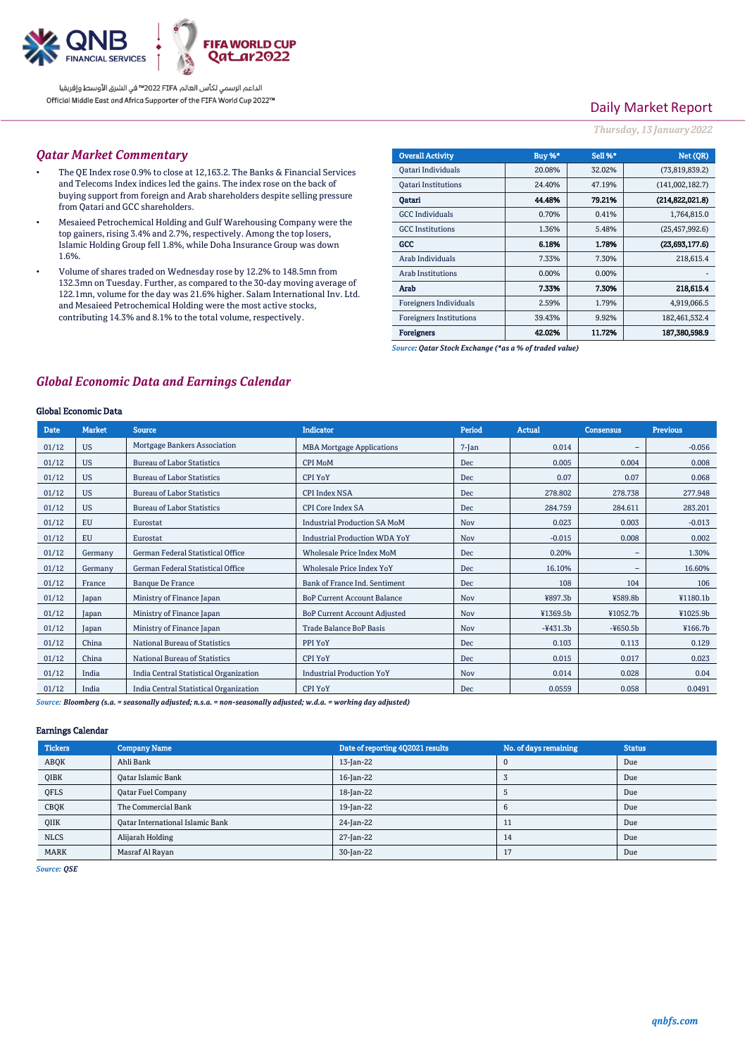

الداعم الرسمي لكأس العالم PIFA™ في الشرق الأوسط وإفريقيا Official Middle East and Africa Supporter of the FIFA World Cup 2022™

# Daily Market Report

### *Thursday, 13 January 2022*

### *Qatar Market Commentary*

- The QE Index rose 0.9% to close at 12,163.2. The Banks & Financial Services and Telecoms Index indices led the gains. The index rose on the back of buying support from foreign and Arab shareholders despite selling pressure from Qatari and GCC shareholders.
- Mesaieed Petrochemical Holding and Gulf Warehousing Company were the top gainers, rising 3.4% and 2.7%, respectively. Among the top losers, Islamic Holding Group fell 1.8%, while Doha Insurance Group was down 1.6%.
- Volume of shares traded on Wednesday rose by 12.2% to 148.5mn from 132.3mn on Tuesday. Further, as compared to the 30-day moving average of 122.1mn, volume for the day was 21.6% higher. Salam International Inv. Ltd. and Mesaieed Petrochemical Holding were the most active stocks, contributing 14.3% and 8.1% to the total volume, respectively.

| <b>Overall Activity</b>        | Buy %* | Sell %* | Net (QR)         |
|--------------------------------|--------|---------|------------------|
| Qatari Individuals             | 20.08% | 32.02%  | (73,819,839.2)   |
| <b>Oatari Institutions</b>     | 24.40% | 47.19%  | (141,002,182.7)  |
| Oatari                         | 44.48% | 79.21%  | (214.822.021.8)  |
| <b>GCC</b> Individuals         | 0.70%  | 0.41%   | 1,764,815.0      |
| <b>GCC</b> Institutions        | 1.36%  | 5.48%   | (25, 457, 992.6) |
| GCC                            | 6.18%  | 1.78%   | (23,693,177.6)   |
| Arab Individuals               | 7.33%  | 7.30%   | 218,615.4        |
| <b>Arab Institutions</b>       | 0.00%  | 0.00%   |                  |
| Arab                           | 7.33%  | 7.30%   | 218,615.4        |
| Foreigners Individuals         | 2.59%  | 1.79%   | 4,919,066.5      |
| <b>Foreigners Institutions</b> | 39.43% | 9.92%   | 182,461,532.4    |
| <b>Foreigners</b>              | 42.02% | 11.72%  | 187,380,598.9    |

*Source: Qatar Stock Exchange (\*as a % of traded value)*

### *Global Economic Data and Earnings Calendar*

### Global Economic Data

| <b>Date</b> | <b>Market</b> | <b>Source</b>                          | Indicator                            | Period     | <b>Actual</b> | <b>Consensus</b>  | <b>Previous</b> |
|-------------|---------------|----------------------------------------|--------------------------------------|------------|---------------|-------------------|-----------------|
| 01/12       | <b>US</b>     | Mortgage Bankers Association           | <b>MBA Mortgage Applications</b>     | $7-Ian$    | 0.014         | -                 | $-0.056$        |
| 01/12       | <b>US</b>     | <b>Bureau of Labor Statistics</b>      | <b>CPI MoM</b>                       | <b>Dec</b> | 0.005         | 0.004             | 0.008           |
| 01/12       | <b>US</b>     | <b>Bureau of Labor Statistics</b>      | <b>CPI YoY</b>                       | <b>Dec</b> | 0.07          | 0.07              | 0.068           |
| 01/12       | <b>US</b>     | <b>Bureau of Labor Statistics</b>      | <b>CPI Index NSA</b>                 | <b>Dec</b> | 278,802       | 278.738           | 277.948         |
| 01/12       | <b>US</b>     | <b>Bureau of Labor Statistics</b>      | <b>CPI Core Index SA</b>             | <b>Dec</b> | 284.759       | 284.611           | 283.201         |
| 01/12       | <b>EU</b>     | Eurostat                               | <b>Industrial Production SA MoM</b>  | <b>Nov</b> | 0.023         | 0.003             | $-0.013$        |
| 01/12       | <b>EU</b>     | Eurostat                               | <b>Industrial Production WDA YoY</b> | <b>Nov</b> | $-0.015$      | 0.008             | 0.002           |
| 01/12       | Germany       | German Federal Statistical Office      | <b>Wholesale Price Index MoM</b>     | <b>Dec</b> | 0.20%         | $\qquad \qquad$   | 1.30%           |
| 01/12       | Germany       | German Federal Statistical Office      | <b>Wholesale Price Index YoY</b>     | <b>Dec</b> | 16.10%        | $\qquad \qquad -$ | 16.60%          |
| 01/12       | France        | <b>Banque De France</b>                | Bank of France Ind. Sentiment        | <b>Dec</b> | 108           | 104               | 106             |
| 01/12       | Japan         | Ministry of Finance Japan              | <b>BoP Current Account Balance</b>   | <b>Nov</b> | ¥897.3b       | ¥589.8b           | ¥1180.1b        |
| 01/12       | Japan         | Ministry of Finance Japan              | <b>BoP Current Account Adjusted</b>  | <b>Nov</b> | ¥1369.5b      | ¥1052.7b          | ¥1025.9b        |
| 01/12       | Japan         | Ministry of Finance Japan              | <b>Trade Balance BoP Basis</b>       | <b>Nov</b> | $-431.3b$     | $-4650.5b$        | ¥166.7b         |
| 01/12       | China         | National Bureau of Statistics          | PPI YoY                              | <b>Dec</b> | 0.103         | 0.113             | 0.129           |
| 01/12       | China         | National Bureau of Statistics          | <b>CPI YoY</b>                       | <b>Dec</b> | 0.015         | 0.017             | 0.023           |
| 01/12       | India         | India Central Statistical Organization | <b>Industrial Production YoY</b>     | Nov        | 0.014         | 0.028             | 0.04            |
| 01/12       | India         | India Central Statistical Organization | <b>CPI YoY</b>                       | Dec        | 0.0559        | 0.058             | 0.0491          |

*Source: Bloomberg (s.a. = seasonally adjusted; n.s.a. = non-seasonally adjusted; w.d.a. = working day adjusted)*

#### Earnings Calendar

| <b>Tickers</b> | <b>Company Name</b>                     | Date of reporting 4Q2021 results | No. of days remaining | <b>Status</b> |
|----------------|-----------------------------------------|----------------------------------|-----------------------|---------------|
| ABQK           | Ahli Bank                               | 13-Jan-22                        |                       | Due           |
| QIBK           | <b>Qatar Islamic Bank</b>               | 16-Jan-22                        |                       | Due           |
| QFLS           | <b>Qatar Fuel Company</b>               | 18-Jan-22                        |                       | Due           |
| CBQK           | The Commercial Bank                     | 19-Jan-22                        |                       | Due           |
| QIIK           | <b>Qatar International Islamic Bank</b> | 24-Jan-22                        |                       | Due           |
| <b>NLCS</b>    | Alijarah Holding                        | 27-Jan-22                        | 14                    | Due           |
| <b>MARK</b>    | Masraf Al Rayan                         | 30-Jan-22                        | 17                    | Due           |

*Source: QSE*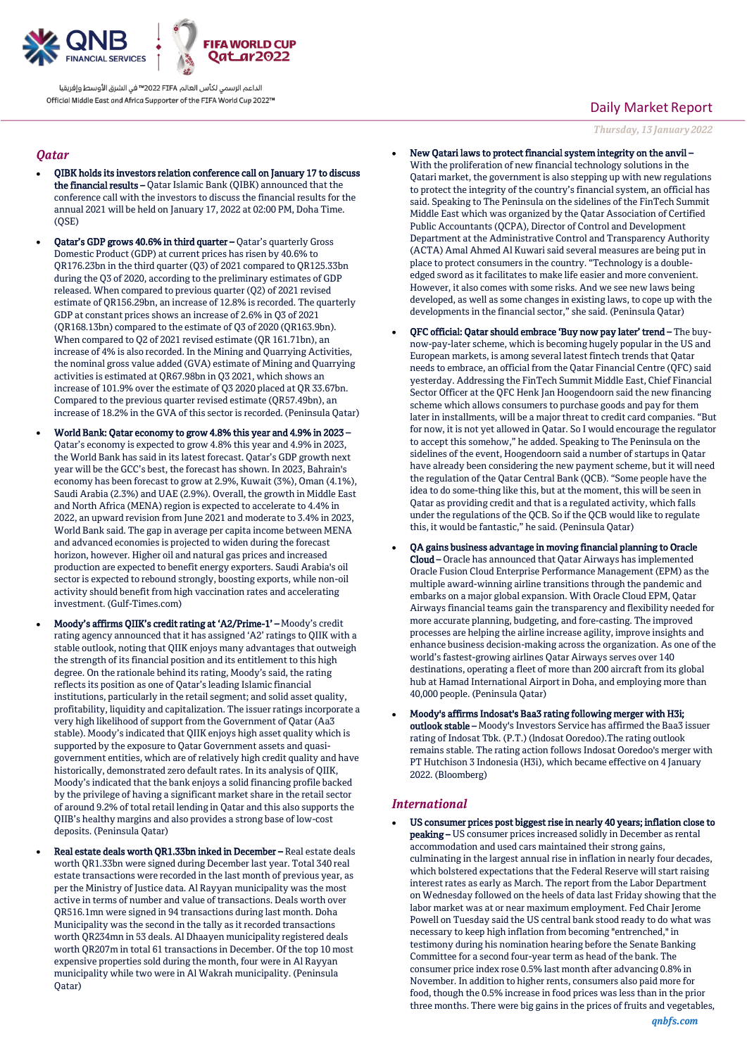

الداعم الرسمى لكأس العالم PIFA™ في الشرق الأوسط وإفريقيا Official Middle East and Africa Supporter of the FIFA World Cup 2022™

### *Qatar*

- QIBK holds its investors relation conference call on January 17 to discuss the financial results - Qatar Islamic Bank (QIBK) announced that the conference call with the investors to discuss the financial results for the annual 2021 will be held on January 17, 2022 at 02:00 PM, Doha Time.  $(OSE)$
- Qatar's GDP grows 40.6% in third quarter Qatar's quarterly Gross Domestic Product (GDP) at current prices has risen by 40.6% to QR176.23bn in the third quarter (Q3) of 2021 compared to QR125.33bn during the Q3 of 2020, according to the preliminary estimates of GDP released. When compared to previous quarter (Q2) of 2021 revised estimate of QR156.29bn, an increase of 12.8% is recorded. The quarterly GDP at constant prices shows an increase of 2.6% in Q3 of 2021 (QR168.13bn) compared to the estimate of Q3 of 2020 (QR163.9bn). When compared to Q2 of 2021 revised estimate (QR 161.71bn), an increase of 4% is also recorded. In the Mining and Quarrying Activities, the nominal gross value added (GVA) estimate of Mining and Quarrying activities is estimated at QR67.98bn in Q3 2021, which shows an increase of 101.9% over the estimate of Q3 2020 placed at QR 33.67bn. Compared to the previous quarter revised estimate (QR57.49bn), an increase of 18.2% in the GVA of this sector is recorded. (Peninsula Qatar)
- World Bank: Qatar economy to grow 4.8% this year and 4.9% in 2023 Qatar's economy is expected to grow 4.8% this year and 4.9% in 2023, the World Bank has said in its latest forecast. Qatar's GDP growth next year will be the GCC's best, the forecast has shown. In 2023, Bahrain's economy has been forecast to grow at 2.9%, Kuwait (3%), Oman (4.1%), Saudi Arabia (2.3%) and UAE (2.9%). Overall, the growth in Middle East and North Africa (MENA) region is expected to accelerate to 4.4% in 2022, an upward revision from June 2021 and moderate to 3.4% in 2023, World Bank said. The gap in average per capita income between MENA and advanced economies is projected to widen during the forecast horizon, however. Higher oil and natural gas prices and increased production are expected to benefit energy exporters. Saudi Arabia's oil sector is expected to rebound strongly, boosting exports, while non-oil activity should benefit from high vaccination rates and accelerating investment. (Gulf-Times.com)
- Moody's affirms QIIK's credit rating at 'A2/Prime-1' Moody's credit rating agency announced that it has assigned 'A2' ratings to QIIK with a stable outlook, noting that QIIK enjoys many advantages that outweigh the strength of its financial position and its entitlement to this high degree. On the rationale behind its rating, Moody's said, the rating reflects its position as one of Qatar's leading Islamic financial institutions, particularly in the retail segment; and solid asset quality, profitability, liquidity and capitalization. The issuer ratings incorporate a very high likelihood of support from the Government of Qatar (Aa3 stable). Moody's indicated that QIIK enjoys high asset quality which is supported by the exposure to Qatar Government assets and quasigovernment entities, which are of relatively high credit quality and have historically, demonstrated zero default rates. In its analysis of QIIK, Moody's indicated that the bank enjoys a solid financing profile backed by the privilege of having a significant market share in the retail sector of around 9.2% of total retail lending in Qatar and this also supports the QIIB's healthy margins and also provides a strong base of low-cost deposits. (Peninsula Qatar)
- Real estate deals worth QR1.33bn inked in December Real estate deals worth QR1.33bn were signed during December last year. Total 340 real estate transactions were recorded in the last month of previous year, as per the Ministry of Justice data. Al Rayyan municipality was the most active in terms of number and value of transactions. Deals worth over QR516.1mn were signed in 94 transactions during last month. Doha Municipality was the second in the tally as it recorded transactions worth QR234mn in 53 deals. Al Dhaayen municipality registered deals worth QR207m in total 61 transactions in December. Of the top 10 most expensive properties sold during the month, four were in Al Rayyan municipality while two were in Al Wakrah municipality. (Peninsula Qatar)

# Daily Market Report

*Thursday, 13 January 2022*

- New Qatari laws to protect financial system integrity on the anvil With the proliferation of new financial technology solutions in the Qatari market, the government is also stepping up with new regulations to protect the integrity of the country's financial system, an official has said. Speaking to The Peninsula on the sidelines of the FinTech Summit Middle East which was organized by the Qatar Association of Certified Public Accountants (QCPA), Director of Control and Development Department at the Administrative Control and Transparency Authority (ACTA) Amal Ahmed Al Kuwari said several measures are being put in place to protect consumers in the country. "Technology is a doubleedged sword as it facilitates to make life easier and more convenient. However, it also comes with some risks. And we see new laws being developed, as well as some changes in existing laws, to cope up with the developments in the financial sector," she said. (Peninsula Qatar)
- QFC official: Qatar should embrace 'Buy now pay later' trend The buynow-pay-later scheme, which is becoming hugely popular in the US and European markets, is among several latest fintech trends that Qatar needs to embrace, an official from the Qatar Financial Centre (QFC) said yesterday. Addressing the FinTech Summit Middle East, Chief Financial Sector Officer at the QFC Henk Jan Hoogendoorn said the new financing scheme which allows consumers to purchase goods and pay for them later in installments, will be a major threat to credit card companies. "But for now, it is not yet allowed in Qatar. So I would encourage the regulator to accept this somehow," he added. Speaking to The Peninsula on the sidelines of the event, Hoogendoorn said a number of startups in Qatar have already been considering the new payment scheme, but it will need the regulation of the Qatar Central Bank (QCB). "Some people have the idea to do some-thing like this, but at the moment, this will be seen in Qatar as providing credit and that is a regulated activity, which falls under the regulations of the QCB. So if the QCB would like to regulate this, it would be fantastic," he said. (Peninsula Qatar)
- QA gains business advantage in moving financial planning to Oracle Cloud – Oracle has announced that Qatar Airways has implemented Oracle Fusion Cloud Enterprise Performance Management (EPM) as the multiple award-winning airline transitions through the pandemic and embarks on a major global expansion. With Oracle Cloud EPM, Qatar Airways financial teams gain the transparency and flexibility needed for more accurate planning, budgeting, and fore-casting. The improved processes are helping the airline increase agility, improve insights and enhance business decision-making across the organization. As one of the world's fastest-growing airlines Qatar Airways serves over 140 destinations, operating a fleet of more than 200 aircraft from its global hub at Hamad International Airport in Doha, and employing more than 40,000 people. (Peninsula Qatar)
- Moody's affirms Indosat's Baa3 rating following merger with H3i; outlook stable – Moody's Investors Service has affirmed the Baa3 issuer rating of Indosat Tbk. (P.T.) (lndosat Ooredoo).The rating outlook remains stable. The rating action follows Indosat Ooredoo's merger with PT Hutchison 3 Indonesia (H3i), which became effective on 4 January 2022. (Bloomberg)

### *International*

 US consumer prices post biggest rise in nearly 40 years; inflation close to peaking – US consumer prices increased solidly in December as rental accommodation and used cars maintained their strong gains, culminating in the largest annual rise in inflation in nearly four decades, which bolstered expectations that the Federal Reserve will start raising interest rates as early as March. The report from the Labor Department on Wednesday followed on the heels of data last Friday showing that the labor market was at or near maximum employment. Fed Chair Jerome Powell on Tuesday said the US central bank stood ready to do what was necessary to keep high inflation from becoming "entrenched," in testimony during his nomination hearing before the Senate Banking Committee for a second four-year term as head of the bank. The consumer price index rose 0.5% last month after advancing 0.8% in November. In addition to higher rents, consumers also paid more for food, though the 0.5% increase in food prices was less than in the prior three months. There were big gains in the prices of fruits and vegetables,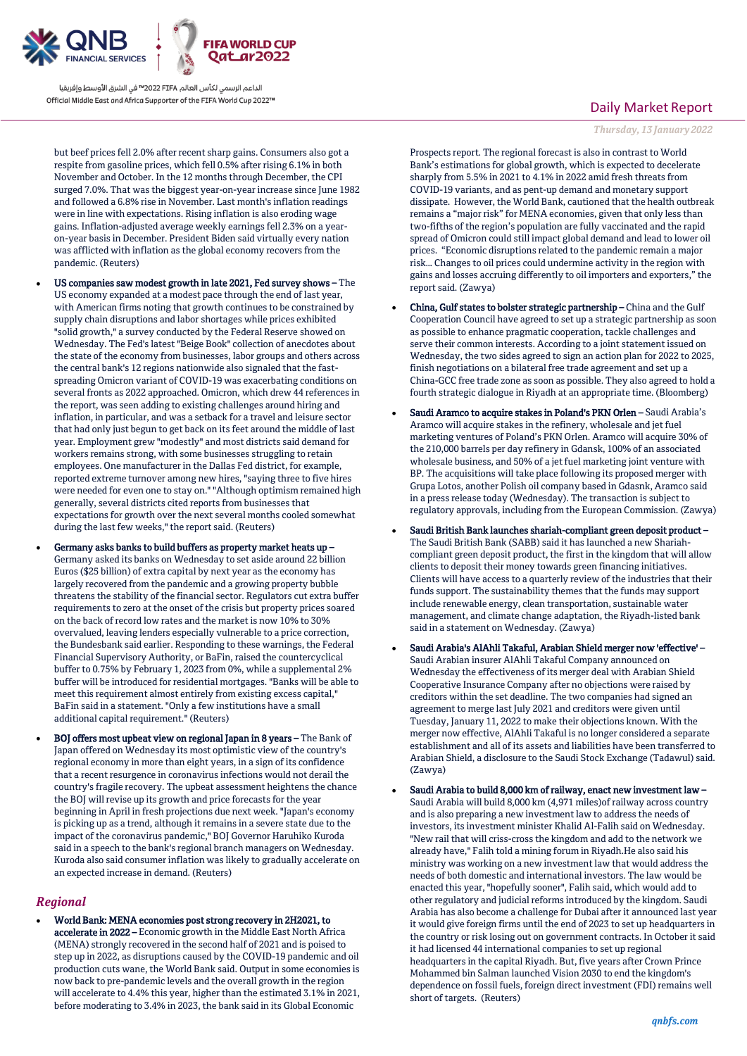

الداعم الرسمى لكأس العالم PIFA™ في الشرق الأوسط وإفريقيا Official Middle East and Africa Supporter of the FIFA World Cup 2022™

but beef prices fell 2.0% after recent sharp gains. Consumers also got a respite from gasoline prices, which fell 0.5% after rising 6.1% in both November and October. In the 12 months through December, the CPI surged 7.0%. That was the biggest year-on-year increase since June 1982 and followed a 6.8% rise in November. Last month's inflation readings were in line with expectations. Rising inflation is also eroding wage gains. Inflation-adjusted average weekly earnings fell 2.3% on a yearon-year basis in December. President Biden said virtually every nation was afflicted with inflation as the global economy recovers from the pandemic. (Reuters)

- US companies saw modest growth in late 2021, Fed survey shows The US economy expanded at a modest pace through the end of last year, with American firms noting that growth continues to be constrained by supply chain disruptions and labor shortages while prices exhibited "solid growth," a survey conducted by the Federal Reserve showed on Wednesday. The Fed's latest "Beige Book" collection of anecdotes about the state of the economy from businesses, labor groups and others across the central bank's 12 regions nationwide also signaled that the fastspreading Omicron variant of COVID-19 was exacerbating conditions on several fronts as 2022 approached. Omicron, which drew 44 references in the report, was seen adding to existing challenges around hiring and inflation, in particular, and was a setback for a travel and leisure sector that had only just begun to get back on its feet around the middle of last year. Employment grew "modestly" and most districts said demand for workers remains strong, with some businesses struggling to retain employees. One manufacturer in the Dallas Fed district, for example, reported extreme turnover among new hires, "saying three to five hires were needed for even one to stay on." "Although optimism remained high generally, several districts cited reports from businesses that expectations for growth over the next several months cooled somewhat during the last few weeks," the report said. (Reuters)
- Germany asks banks to build buffers as property market heats up Germany asked its banks on Wednesday to set aside around 22 billion Euros (\$25 billion) of extra capital by next year as the economy has largely recovered from the pandemic and a growing property bubble threatens the stability of the financial sector. Regulators cut extra buffer requirements to zero at the onset of the crisis but property prices soared on the back of record low rates and the market is now 10% to 30% overvalued, leaving lenders especially vulnerable to a price correction, the Bundesbank said earlier. Responding to these warnings, the Federal Financial Supervisory Authority, or BaFin, raised the countercyclical buffer to 0.75% by February 1, 2023 from 0%, while a supplemental 2% buffer will be introduced for residential mortgages. "Banks will be able to meet this requirement almost entirely from existing excess capital," BaFin said in a statement. "Only a few institutions have a small additional capital requirement." (Reuters)
- BOJ offers most upbeat view on regional Japan in 8 years The Bank of Japan offered on Wednesday its most optimistic view of the country's regional economy in more than eight years, in a sign of its confidence that a recent resurgence in coronavirus infections would not derail the country's fragile recovery. The upbeat assessment heightens the chance the BOJ will revise up its growth and price forecasts for the year beginning in April in fresh projections due next week. "Japan's economy is picking up as a trend, although it remains in a severe state due to the impact of the coronavirus pandemic," BOJ Governor Haruhiko Kuroda said in a speech to the bank's regional branch managers on Wednesday. Kuroda also said consumer inflation was likely to gradually accelerate on an expected increase in demand. (Reuters)

### *Regional*

 World Bank: MENA economies post strong recovery in 2H2021, to accelerate in 2022 – Economic growth in the Middle East North Africa (MENA) strongly recovered in the second half of 2021 and is poised to step up in 2022, as disruptions caused by the COVID-19 pandemic and oil production cuts wane, the World Bank said. Output in some economies is now back to pre-pandemic levels and the overall growth in the region will accelerate to 4.4% this year, higher than the estimated 3.1% in 2021, before moderating to 3.4% in 2023, the bank said in its Global Economic

# Daily Market Report

*Thursday, 13 January 2022*

Prospects report. The regional forecast is also in contrast to World Bank's estimations for global growth, which is expected to decelerate sharply from 5.5% in 2021 to 4.1% in 2022 amid fresh threats from COVID-19 variants, and as pent-up demand and monetary support dissipate. However, the World Bank, cautioned that the health outbreak remains a "major risk" for MENA economies, given that only less than two-fifths of the region's population are fully vaccinated and the rapid spread of Omicron could still impact global demand and lead to lower oil prices. "Economic disruptions related to the pandemic remain a major risk… Changes to oil prices could undermine activity in the region with gains and losses accruing differently to oil importers and exporters," the report said. (Zawya)

- China, Gulf states to bolster strategic partnership China and the Gulf Cooperation Council have agreed to set up a strategic partnership as soon as possible to enhance pragmatic cooperation, tackle challenges and serve their common interests. According to a joint statement issued on Wednesday, the two sides agreed to sign an action plan for 2022 to 2025, finish negotiations on a bilateral free trade agreement and set up a China-GCC free trade zone as soon as possible. They also agreed to hold a fourth strategic dialogue in Riyadh at an appropriate time. (Bloomberg)
- Saudi Aramco to acquire stakes in Poland's PKN Orlen Saudi Arabia's Aramco will acquire stakes in the refinery, wholesale and jet fuel marketing ventures of Poland's PKN Orlen. Aramco will acquire 30% of the 210,000 barrels per day refinery in Gdansk, 100% of an associated wholesale business, and 50% of a jet fuel marketing joint venture with BP. The acquisitions will take place following its proposed merger with Grupa Lotos, another Polish oil company based in Gdasnk, Aramco said in a press release today (Wednesday). The transaction is subject to regulatory approvals, including from the European Commission. (Zawya)
- Saudi British Bank launches shariah-compliant green deposit product The Saudi British Bank (SABB) said it has launched a new Shariahcompliant green deposit product, the first in the kingdom that will allow clients to deposit their money towards green financing initiatives. Clients will have access to a quarterly review of the industries that their funds support. The sustainability themes that the funds may support include renewable energy, clean transportation, sustainable water management, and climate change adaptation, the Riyadh-listed bank said in a statement on Wednesday. (Zawya)
- Saudi Arabia's AlAhli Takaful, Arabian Shield merger now 'effective' Saudi Arabian insurer AlAhli Takaful Company announced on Wednesday the effectiveness of its merger deal with Arabian Shield Cooperative Insurance Company after no objections were raised by creditors within the set deadline. The two companies had signed an agreement to merge last July 2021 and creditors were given until Tuesday, January 11, 2022 to make their objections known. With the merger now effective, AlAhli Takaful is no longer considered a separate establishment and all of its assets and liabilities have been transferred to Arabian Shield, a disclosure to the Saudi Stock Exchange (Tadawul) said. (Zawya)
- Saudi Arabia to build 8,000 km of railway, enact new investment law Saudi Arabia will build 8,000 km (4,971 miles)of railway across country and is also preparing a new investment law to address the needs of investors, its investment minister Khalid Al-Falih said on Wednesday. "New rail that will criss-cross the kingdom and add to the network we already have," Falih told a mining forum in Riyadh.He also said his ministry was working on a new investment law that would address the needs of both domestic and international investors. The law would be enacted this year, "hopefully sooner", Falih said, which would add to other regulatory and judicial reforms introduced by the kingdom. Saudi Arabia has also become a challenge for Dubai after it announced last year it would give foreign firms until the end of 2023 to set up headquarters in the country or risk losing out on government contracts. In October it said it had licensed 44 international companies to set up regional headquarters in the capital Riyadh. But, five years after Crown Prince Mohammed bin Salman launched Vision 2030 to end the kingdom's dependence on fossil fuels, foreign direct investment (FDI) remains well short of targets. (Reuters)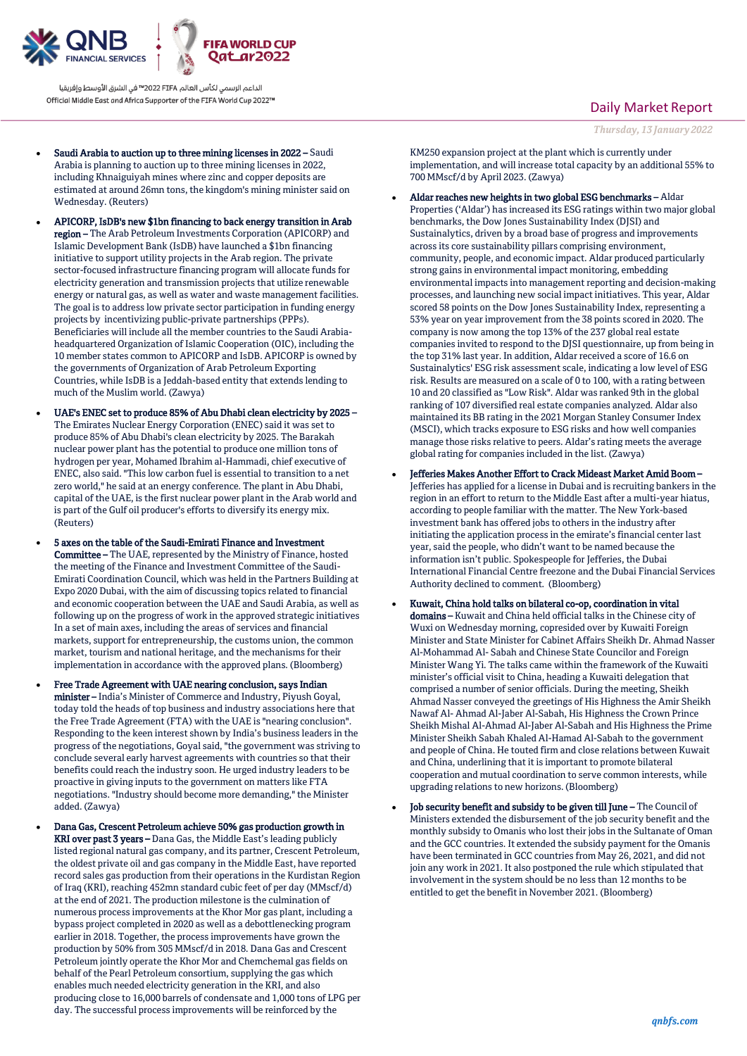

الداعم الرسمي لكأس العالم PIFA≤™ في الشرق الأوسط وإفريقيا Official Middle East and Africa Supporter of the FIFA World Cup 2022™

- Saudi Arabia to auction up to three mining licenses in 2022 Saudi Arabia is planning to auction up to three mining licenses in 2022, including Khnaiguiyah mines where zinc and copper deposits are estimated at around 26mn tons, the kingdom's mining minister said on Wednesday. (Reuters)
- APICORP, IsDB's new \$1bn financing to back energy transition in Arab region – The Arab Petroleum Investments Corporation (APICORP) and Islamic Development Bank (IsDB) have launched a \$1bn financing initiative to support utility projects in the Arab region. The private sector-focused infrastructure financing program will allocate funds for electricity generation and transmission projects that utilize renewable energy or natural gas, as well as water and waste management facilities. The goal is to address low private sector participation in funding energy projects by incentivizing public-private partnerships (PPPs). Beneficiaries will include all the member countries to the Saudi Arabiaheadquartered Organization of Islamic Cooperation (OIC), including the 10 member states common to APICORP and IsDB. APICORP is owned by the governments of Organization of Arab Petroleum Exporting Countries, while IsDB is a Jeddah-based entity that extends lending to much of the Muslim world. (Zawya)
- UAE's ENEC set to produce 85% of Abu Dhabi clean electricity by 2025 The Emirates Nuclear Energy Corporation (ENEC) said it was set to produce 85% of Abu Dhabi's clean electricity by 2025. The Barakah nuclear power plant has the potential to produce one million tons of hydrogen per year, Mohamed Ibrahim al-Hammadi, chief executive of ENEC, also said. "This low carbon fuel is essential to transition to a net zero world," he said at an energy conference. The plant in Abu Dhabi, capital of the UAE, is the first nuclear power plant in the Arab world and is part of the Gulf oil producer's efforts to diversify its energy mix. (Reuters)
- 5 axes on the table of the Saudi-Emirati Finance and Investment Committee – The UAE, represented by the Ministry of Finance, hosted the meeting of the Finance and Investment Committee of the Saudi-Emirati Coordination Council, which was held in the Partners Building at Expo 2020 Dubai, with the aim of discussing topics related to financial and economic cooperation between the UAE and Saudi Arabia, as well as following up on the progress of work in the approved strategic initiatives In a set of main axes, including the areas of services and financial markets, support for entrepreneurship, the customs union, the common market, tourism and national heritage, and the mechanisms for their implementation in accordance with the approved plans. (Bloomberg)
- Free Trade Agreement with UAE nearing conclusion, says Indian minister – India's Minister of Commerce and Industry, Piyush Goyal, today told the heads of top business and industry associations here that the Free Trade Agreement (FTA) with the UAE is "nearing conclusion". Responding to the keen interest shown by India's business leaders in the progress of the negotiations, Goyal said, "the government was striving to conclude several early harvest agreements with countries so that their benefits could reach the industry soon. He urged industry leaders to be proactive in giving inputs to the government on matters like FTA negotiations. "Industry should become more demanding," the Minister added. (Zawya)
	- Dana Gas, Crescent Petroleum achieve 50% gas production growth in KRI over past 3 years – Dana Gas, the Middle East's leading publicly listed regional natural gas company, and its partner, Crescent Petroleum, the oldest private oil and gas company in the Middle East, have reported record sales gas production from their operations in the Kurdistan Region of Iraq (KRI), reaching 452mn standard cubic feet of per day (MMscf/d) at the end of 2021. The production milestone is the culmination of numerous process improvements at the Khor Mor gas plant, including a bypass project completed in 2020 as well as a debottlenecking program earlier in 2018. Together, the process improvements have grown the production by 50% from 305 MMscf/d in 2018. Dana Gas and Crescent Petroleum jointly operate the Khor Mor and Chemchemal gas fields on behalf of the Pearl Petroleum consortium, supplying the gas which enables much needed electricity generation in the KRI, and also producing close to 16,000 barrels of condensate and 1,000 tons of LPG per day. The successful process improvements will be reinforced by the

## Daily Market Report

*Thursday, 13 January 2022*

KM250 expansion project at the plant which is currently under implementation, and will increase total capacity by an additional 55% to 700 MMscf/d by April 2023. (Zawya)

- Aldar reaches new heights in two global ESG benchmarks Aldar Properties ('Aldar') has increased its ESG ratings within two major global benchmarks, the Dow Jones Sustainability Index (DJSI) and Sustainalytics, driven by a broad base of progress and improvements across its core sustainability pillars comprising environment, community, people, and economic impact. Aldar produced particularly strong gains in environmental impact monitoring, embedding environmental impacts into management reporting and decision-making processes, and launching new social impact initiatives. This year, Aldar scored 58 points on the Dow Jones Sustainability Index, representing a 53% year on year improvement from the 38 points scored in 2020. The company is now among the top 13% of the 237 global real estate companies invited to respond to the DJSI questionnaire, up from being in the top 31% last year. In addition, Aldar received a score of 16.6 on Sustainalytics' ESG risk assessment scale, indicating a low level of ESG risk. Results are measured on a scale of 0 to 100, with a rating between 10 and 20 classified as "Low Risk". Aldar was ranked 9th in the global ranking of 107 diversified real estate companies analyzed. Aldar also maintained its BB rating in the 2021 Morgan Stanley Consumer Index (MSCI), which tracks exposure to ESG risks and how well companies manage those risks relative to peers. Aldar's rating meets the average global rating for companies included in the list. (Zawya)
- Jefferies Makes Another Effort to Crack Mideast Market Amid Boom Jefferies has applied for a license in Dubai and is recruiting bankers in the region in an effort to return to the Middle East after a multi-year hiatus, according to people familiar with the matter. The New York-based investment bank has offered jobs to others in the industry after initiating the application process in the emirate's financial center last year, said the people, who didn't want to be named because the information isn't public. Spokespeople for Jefferies, the Dubai International Financial Centre freezone and the Dubai Financial Services Authority declined to comment. (Bloomberg)
- Kuwait, China hold talks on bilateral co-op, coordination in vital domains – Kuwait and China held official talks in the Chinese city of Wuxi on Wednesday morning, copresided over by Kuwaiti Foreign Minister and State Minister for Cabinet Affairs Sheikh Dr. Ahmad Nasser Al-Mohammad Al- Sabah and Chinese State Councilor and Foreign Minister Wang Yi. The talks came within the framework of the Kuwaiti minister's official visit to China, heading a Kuwaiti delegation that comprised a number of senior officials. During the meeting, Sheikh Ahmad Nasser conveyed the greetings of His Highness the Amir Sheikh Nawaf Al- Ahmad Al-Jaber Al-Sabah, His Highness the Crown Prince Sheikh Mishal Al-Ahmad Al-Jaber Al-Sabah and His Highness the Prime Minister Sheikh Sabah Khaled Al-Hamad Al-Sabah to the government and people of China. He touted firm and close relations between Kuwait and China, underlining that it is important to promote bilateral cooperation and mutual coordination to serve common interests, while upgrading relations to new horizons. (Bloomberg)
- Job security benefit and subsidy to be given till June The Council of Ministers extended the disbursement of the job security benefit and the monthly subsidy to Omanis who lost their jobs in the Sultanate of Oman and the GCC countries. It extended the subsidy payment for the Omanis have been terminated in GCC countries from May 26, 2021, and did not join any work in 2021. It also postponed the rule which stipulated that involvement in the system should be no less than 12 months to be entitled to get the benefit in November 2021. (Bloomberg)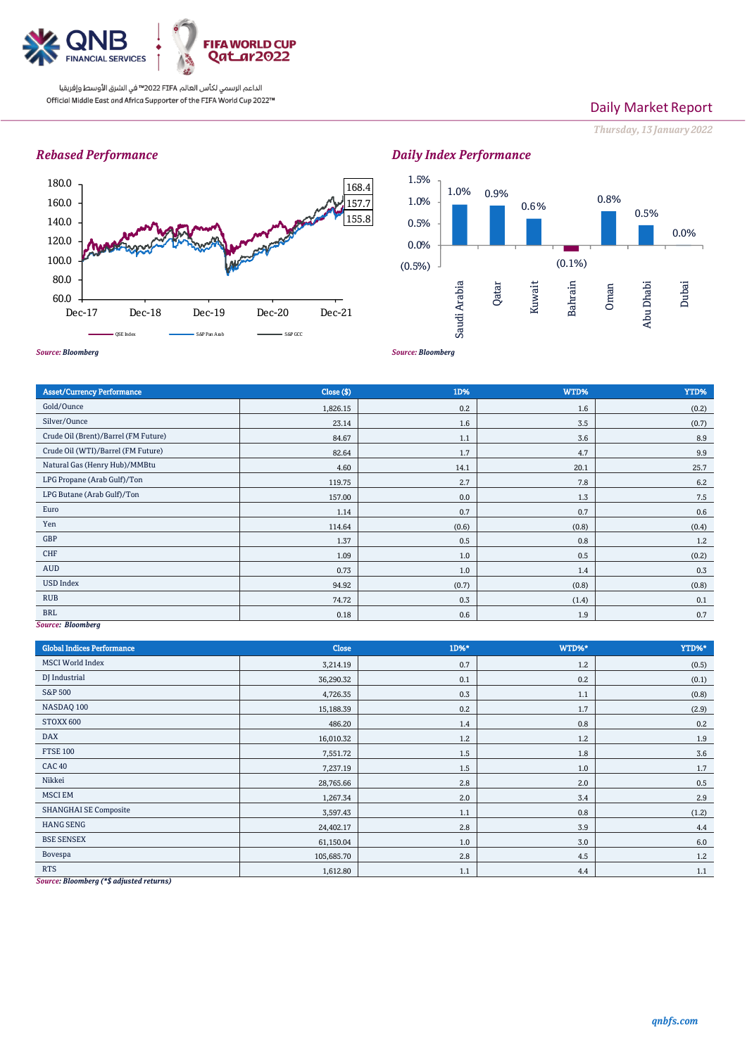

الداعم الرسمي لكأس العالم PIFA™ في الشرق الأوسط وإفريقيا Official Middle East and Africa Supporter of the FIFA World Cup 2022™

# Daily Market Report

*Thursday, 13 January 2022*

# *Rebased Performance*



#### *Source: Bloomberg* 1.0% 0.9% 0.6%  $(0.1\%)$ 0.8% 0.5% 0.0% (0.5%) 0.0% 0.5% 1.0% 1.5% Saudi Arabia Qatar Kuwait Bahrain Oman Abu Dhabi Dubai

*Source: Bloomberg*

| <b>Asset/Currency Performance</b>    | Close ( \$) | 1D%   | WTD%  | YTD%  |
|--------------------------------------|-------------|-------|-------|-------|
| Gold/Ounce                           | 1,826.15    | 0.2   | 1.6   | (0.2) |
| Silver/Ounce                         | 23.14       | 1.6   | 3.5   | (0.7) |
| Crude Oil (Brent)/Barrel (FM Future) | 84.67       | 1.1   | 3.6   | 8.9   |
| Crude Oil (WTI)/Barrel (FM Future)   | 82.64       | 1.7   | 4.7   | 9.9   |
| Natural Gas (Henry Hub)/MMBtu        | 4.60        | 14.1  | 20.1  | 25.7  |
| LPG Propane (Arab Gulf)/Ton          | 119.75      | 2.7   | 7.8   | 6.2   |
| LPG Butane (Arab Gulf)/Ton           | 157.00      | 0.0   | 1.3   | 7.5   |
| Euro                                 | 1.14        | 0.7   | 0.7   | 0.6   |
| Yen                                  | 114.64      | (0.6) | (0.8) | (0.4) |
| GBP                                  | 1.37        | 0.5   | 0.8   | 1.2   |
| CHF                                  | 1.09        | 1.0   | 0.5   | (0.2) |
| AUD                                  | 0.73        | 1.0   | 1.4   | 0.3   |
| <b>USD Index</b>                     | 94.92       | (0.7) | (0.8) | (0.8) |
| <b>RUB</b>                           | 74.72       | 0.3   | (1.4) | 0.1   |
| <b>BRL</b><br>$-1$                   | 0.18        | 0.6   | 1.9   | 0.7   |

*Source: Bloomberg*

| <b>Global Indices Performance</b> | <b>Close</b> | $1D%$ * | WTD%* | YTD%*   |
|-----------------------------------|--------------|---------|-------|---------|
| <b>MSCI</b> World Index           | 3,214.19     | 0.7     | 1.2   | (0.5)   |
| DJ Industrial                     | 36,290.32    | 0.1     | 0.2   | (0.1)   |
| <b>S&amp;P 500</b>                | 4,726.35     | 0.3     | 1.1   | (0.8)   |
| NASDAQ 100                        | 15,188.39    | 0.2     | 1.7   | (2.9)   |
| STOXX 600                         | 486.20       | 1.4     | 0.8   | 0.2     |
| <b>DAX</b>                        | 16,010.32    | 1.2     | 1.2   | 1.9     |
| <b>FTSE 100</b>                   | 7,551.72     | 1.5     | 1.8   | 3.6     |
| <b>CAC 40</b>                     | 7,237.19     | 1.5     | 1.0   | 1.7     |
| Nikkei                            | 28,765.66    | 2.8     | 2.0   | $0.5\,$ |
| <b>MSCI EM</b>                    | 1,267.34     | 2.0     | 3.4   | 2.9     |
| <b>SHANGHAI SE Composite</b>      | 3,597.43     | 1.1     | 0.8   | (1.2)   |
| <b>HANG SENG</b>                  | 24,402.17    | 2.8     | 3.9   | 4.4     |
| <b>BSE SENSEX</b>                 | 61,150.04    | 1.0     | 3.0   | 6.0     |
| Bovespa                           | 105,685.70   | 2.8     | 4.5   | 1.2     |
| <b>RTS</b>                        | 1,612.80     | 1.1     | 4.4   | 1.1     |

*Source: Bloomberg (\*\$ adjusted returns)*

# *Daily Index Performance*